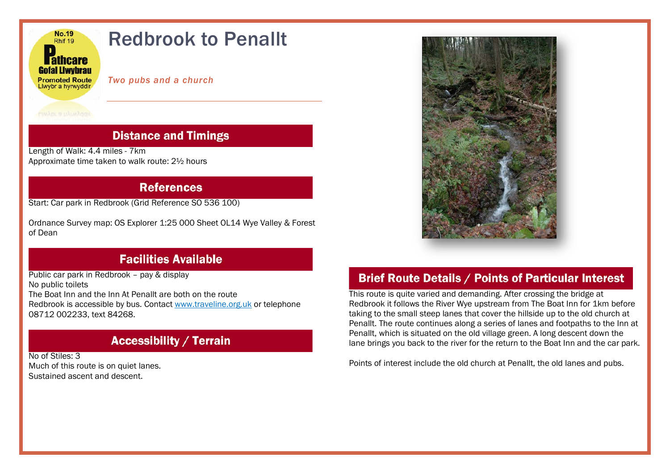

### **Distance and Timings**

Length of Walk: 4.4 miles - 7km Approximate time taken to walk route: 2½ hours

#### **References**

Start: Car park in Redbrook (Grid Reference SO 536 100)

Ordnance Survey map: OS Explorer 1:25 000 Sheet OL14 Wye Valley & Forest of Dean

# **Facilities Available**

Public car park in Redbrook – pay & display No public toilets The Boat Inn and the Inn At Penallt are both on the route Redbrook is accessible by bus. Contact [www.traveline.org.uk](http://www.traveline.org.uk/) or telephone 08712 002233, text 84268.

## **Accessibility / Terrain**

No of Stiles: 3 Much of this route is on quiet lanes. Sustained ascent and descent.



## **Brief Route Details / Points of Particular Interest**

This route is quite varied and demanding. After crossing the bridge at Redbrook it follows the River Wye upstream from The Boat Inn for 1km before taking to the small steep lanes that cover the hillside up to the old church at Penallt. The route continues along a series of lanes and footpaths to the Inn at Penallt, which is situated on the old village green. A long descent down the lane brings you back to the river for the return to the Boat Inn and the car park.

Points of interest include the old church at Penallt, the old lanes and pubs.